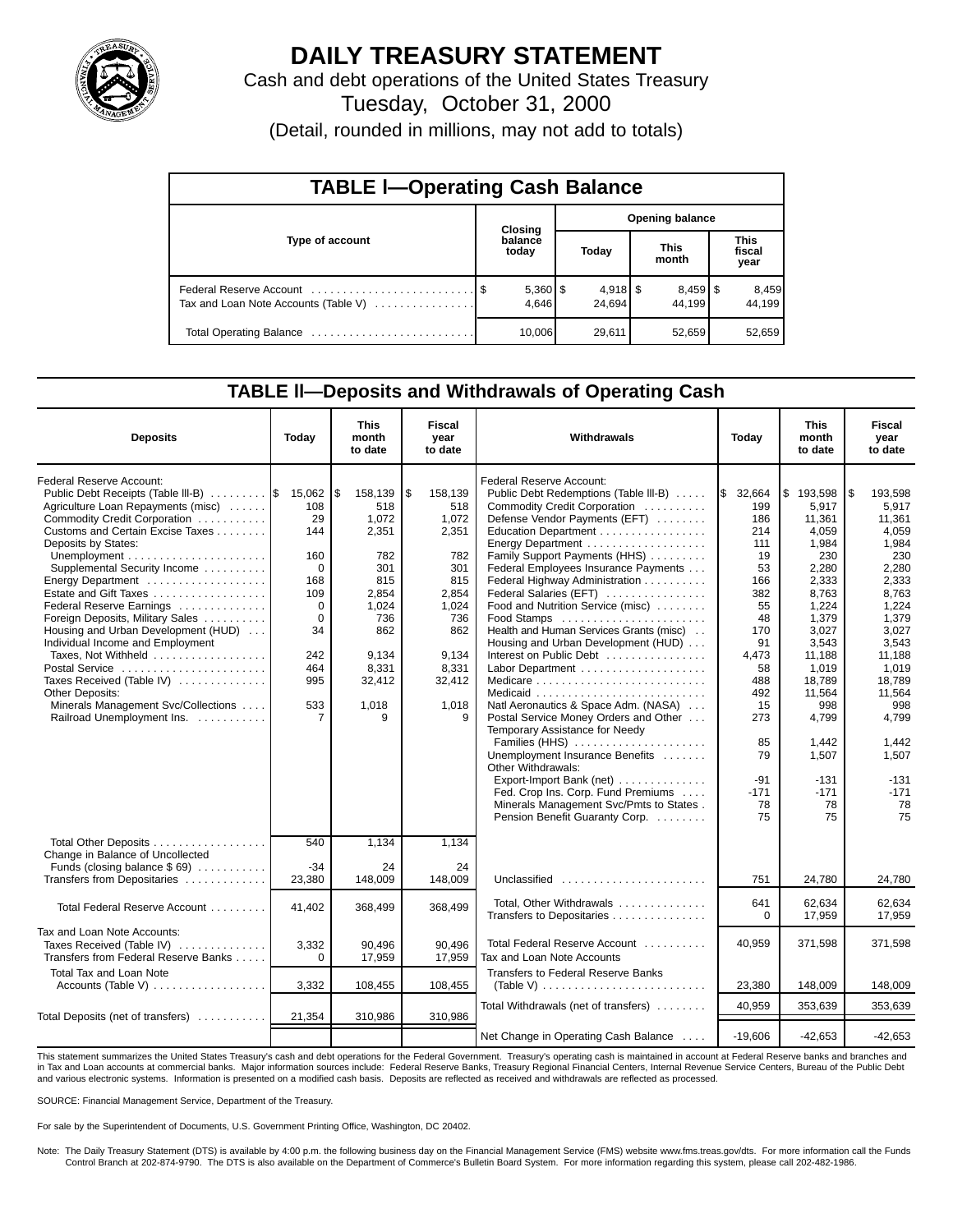

## **DAILY TREASURY STATEMENT**

Cash and debt operations of the United States Treasury

Tuesday, October 31, 2000

(Detail, rounded in millions, may not add to totals)

| <b>TABLE I-Operating Cash Balance</b> |  |                       |                        |                      |  |                      |  |                               |  |  |
|---------------------------------------|--|-----------------------|------------------------|----------------------|--|----------------------|--|-------------------------------|--|--|
|                                       |  | Closing               | <b>Opening balance</b> |                      |  |                      |  |                               |  |  |
| Type of account                       |  | balance<br>today      |                        | Today                |  | <b>This</b><br>month |  | <b>This</b><br>fiscal<br>year |  |  |
| Tax and Loan Note Accounts (Table V)  |  | $5,360$   \$<br>4.646 |                        | $4,918$ \$<br>24.694 |  | $8,459$ \$<br>44.199 |  | 8,459<br>44.199               |  |  |
| Total Operating Balance               |  | 10,006                |                        | 29,611               |  | 52,659               |  | 52,659                        |  |  |

### **TABLE ll—Deposits and Withdrawals of Operating Cash**

| <b>Deposits</b>                                                               | Today         | <b>This</b><br>month<br>to date | Fiscal<br>vear<br>to date | Withdrawals                                                           | Today                | <b>This</b><br>month<br>to date | Fiscal<br>vear<br>to date |
|-------------------------------------------------------------------------------|---------------|---------------------------------|---------------------------|-----------------------------------------------------------------------|----------------------|---------------------------------|---------------------------|
| Federal Reserve Account:                                                      |               |                                 |                           | Federal Reserve Account:                                              |                      |                                 | l \$                      |
| Public Debt Receipts (Table III-B)   \$<br>Agriculture Loan Repayments (misc) | 15,062<br>108 | \$<br>158,139<br>518            | \$<br>158.139<br>518      | Public Debt Redemptions (Table III-B)<br>Commodity Credit Corporation | I\$<br>32,664<br>199 | ۱\$<br>193.598<br>5.917         | 193.598<br>5.917          |
| Commodity Credit Corporation                                                  | 29            | 1.072                           | 1.072                     | Defense Vendor Payments (EFT)                                         | 186                  | 11.361                          | 11.361                    |
| Customs and Certain Excise Taxes                                              | 144           | 2,351                           | 2,351                     | Education Department                                                  | 214                  | 4.059                           | 4.059                     |
| Deposits by States:                                                           |               |                                 |                           |                                                                       | 111                  | 1,984                           | 1,984                     |
|                                                                               | 160           | 782                             | 782                       | Family Support Payments (HHS)                                         | 19                   | 230                             | 230                       |
| Supplemental Security Income                                                  | $\Omega$      | 301                             | 301                       | Federal Employees Insurance Payments                                  | 53                   | 2,280                           | 2,280                     |
|                                                                               | 168           | 815                             | 815                       | Federal Highway Administration                                        | 166                  | 2,333                           | 2,333                     |
| Estate and Gift Taxes                                                         | 109           | 2.854                           | 2.854                     | Federal Salaries (EFT)                                                | 382                  | 8.763                           | 8.763                     |
| Federal Reserve Earnings                                                      | 0             | 1.024                           | 1.024                     | Food and Nutrition Service (misc)                                     | 55                   | 1.224                           | 1,224                     |
| Foreign Deposits, Military Sales                                              | $\Omega$      | 736                             | 736                       | Food Stamps                                                           | 48                   | 1,379                           | 1,379                     |
| Housing and Urban Development (HUD)                                           | 34            | 862                             | 862                       | Health and Human Services Grants (misc).                              | 170                  | 3.027                           | 3.027                     |
| Individual Income and Employment                                              |               |                                 |                           | Housing and Urban Development (HUD)                                   | 91                   | 3,543                           | 3,543                     |
| Taxes, Not Withheld                                                           | 242           | 9,134                           | 9,134                     | Interest on Public Debt                                               | 4,473                | 11,188                          | 11,188                    |
| Postal Service                                                                | 464           | 8,331                           | 8,331                     |                                                                       | 58                   | 1,019                           | 1,019                     |
| Taxes Received (Table IV)                                                     | 995           | 32,412                          | 32,412                    |                                                                       | 488<br>492           | 18,789                          | 18,789<br>11,564          |
| Other Deposits:<br>Minerals Management Svc/Collections                        | 533           |                                 | 1,018                     | Natl Aeronautics & Space Adm. (NASA)                                  | 15                   | 11,564<br>998                   | 998                       |
| Railroad Unemployment Ins.                                                    | 7             | 1,018<br>9                      | 9                         | Postal Service Money Orders and Other                                 | 273                  | 4,799                           | 4,799                     |
|                                                                               |               |                                 |                           | Temporary Assistance for Needy                                        |                      |                                 |                           |
|                                                                               |               |                                 |                           | Families (HHS)                                                        | 85                   | 1,442                           | 1,442                     |
|                                                                               |               |                                 |                           | Unemployment Insurance Benefits                                       | 79                   | 1,507                           | 1.507                     |
|                                                                               |               |                                 |                           | Other Withdrawals:                                                    |                      |                                 |                           |
|                                                                               |               |                                 |                           | Export-Import Bank (net)                                              | $-91$                | $-131$                          | $-131$                    |
|                                                                               |               |                                 |                           | Fed. Crop Ins. Corp. Fund Premiums                                    | $-171$               | $-171$                          | $-171$                    |
|                                                                               |               |                                 |                           | Minerals Management Svc/Pmts to States.                               | 78                   | 78                              | 78                        |
|                                                                               |               |                                 |                           | Pension Benefit Guaranty Corp.                                        | 75                   | 75                              | 75                        |
|                                                                               |               |                                 |                           |                                                                       |                      |                                 |                           |
| Total Other Deposits<br>Change in Balance of Uncollected                      | 540           | 1,134                           | 1.134                     |                                                                       |                      |                                 |                           |
| Funds (closing balance $$69$ )                                                | $-34$         | 24                              | 24                        |                                                                       |                      |                                 |                           |
| Transfers from Depositaries                                                   | 23,380        | 148.009                         | 148,009                   | Unclassified                                                          | 751                  | 24,780                          | 24,780                    |
|                                                                               |               |                                 |                           | Total, Other Withdrawals                                              | 641                  | 62,634                          | 62,634                    |
| Total Federal Reserve Account                                                 | 41,402        | 368,499                         | 368,499                   | Transfers to Depositaries                                             | $\Omega$             | 17,959                          | 17,959                    |
|                                                                               |               |                                 |                           |                                                                       |                      |                                 |                           |
| Tax and Loan Note Accounts:                                                   |               |                                 |                           | Total Federal Reserve Account                                         |                      |                                 |                           |
| Taxes Received (Table IV)                                                     | 3,332         | 90.496                          | 90.496                    |                                                                       | 40,959               | 371,598                         | 371,598                   |
| Transfers from Federal Reserve Banks                                          | $\Omega$      | 17,959                          | 17,959                    | Tax and Loan Note Accounts                                            |                      |                                 |                           |
| <b>Total Tax and Loan Note</b>                                                |               |                                 |                           | Transfers to Federal Reserve Banks                                    |                      |                                 |                           |
|                                                                               | 3,332         | 108,455                         | 108,455                   | (Table V) $\ldots \ldots \ldots \ldots \ldots \ldots \ldots \ldots$   | 23,380               | 148,009                         | 148,009                   |
|                                                                               |               |                                 |                           | Total Withdrawals (net of transfers)                                  | 40.959               | 353.639                         | 353,639                   |
| Total Deposits (net of transfers)                                             | 21,354        | 310,986                         | 310,986                   |                                                                       |                      |                                 |                           |
|                                                                               |               |                                 |                           | Net Change in Operating Cash Balance                                  | $-19,606$            | $-42,653$                       | $-42,653$                 |

This statement summarizes the United States Treasury's cash and debt operations for the Federal Government. Treasury's operating cash is maintained in account at Federal Reserve banks and branches and in Tax and Loan accounts at commercial banks. Major information sources include: Federal Reserve Banks, Treasury Regional Financial Centers, Internal Revenue Service Centers, Bureau of the Public Debt<br>and various electroni

SOURCE: Financial Management Service, Department of the Treasury.

For sale by the Superintendent of Documents, U.S. Government Printing Office, Washington, DC 20402.

Note: The Daily Treasury Statement (DTS) is available by 4:00 p.m. the following business day on the Financial Management Service (FMS) website www.fms.treas.gov/dts. For more information call the Funds<br>Control Branch at 2